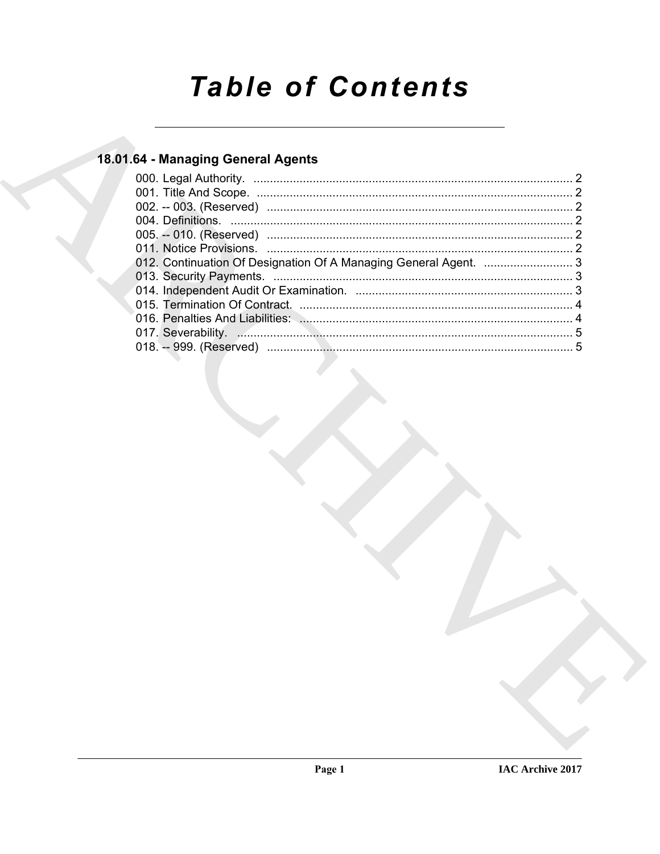# **Table of Contents**

### 18.01.64 - Managing General Agents

| 012. Continuation Of Designation Of A Managing General Agent.  3 |
|------------------------------------------------------------------|
|                                                                  |
|                                                                  |
|                                                                  |
|                                                                  |
|                                                                  |
|                                                                  |
|                                                                  |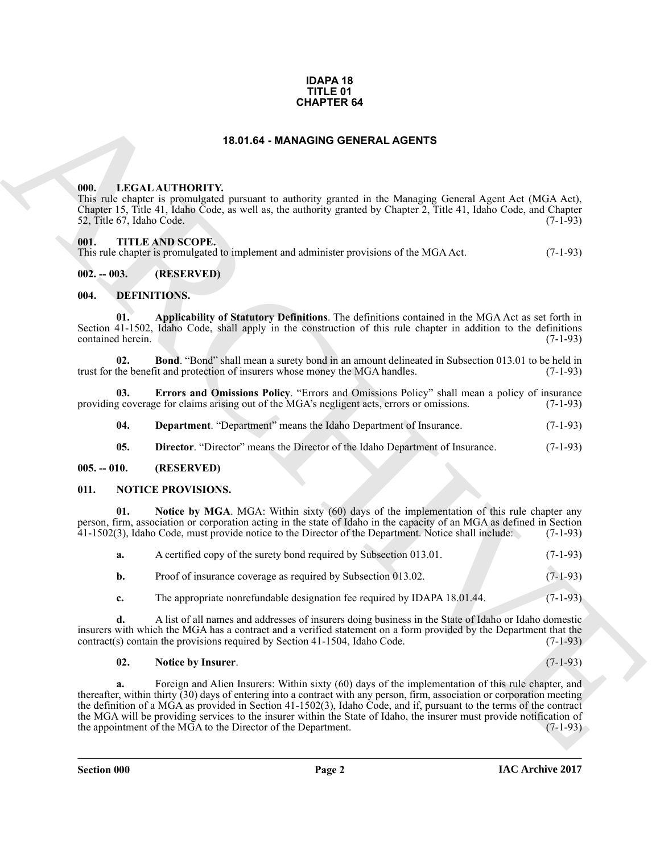#### **IDAPA 18 TITLE 01 CHAPTER 64**

#### **18.01.64 - MANAGING GENERAL AGENTS**

#### <span id="page-1-1"></span><span id="page-1-0"></span>**000. LEGAL AUTHORITY.**

This rule chapter is promulgated pursuant to authority granted in the Managing General Agent Act (MGA Act), Chapter 15, Title 41, Idaho Code, as well as, the authority granted by Chapter 2, Title 41, Idaho Code, and Chapter  $52$ , Title  $67$ , Idaho Code.

#### <span id="page-1-2"></span>**001. TITLE AND SCOPE.**

This rule chapter is promulgated to implement and administer provisions of the MGA Act. (7-1-93)

#### <span id="page-1-3"></span>**002. -- 003. (RESERVED)**

#### <span id="page-1-7"></span><span id="page-1-4"></span>**004. DEFINITIONS.**

<span id="page-1-8"></span>**01. Applicability of Statutory Definitions**. The definitions contained in the MGA Act as set forth in Section 41-1502, Idaho Code, shall apply in the construction of this rule chapter in addition to the definitions contained herein. (7-1-93) contained herein.

<span id="page-1-9"></span>**02. Bond**. "Bond" shall mean a surety bond in an amount delineated in Subsection 013.01 to be held in the benefit and protection of insurers whose money the MGA handles. (7-1-93) trust for the benefit and protection of insurers whose money the MGA handles.

**03. Errors and Omissions Policy**. "Errors and Omissions Policy" shall mean a policy of insurance g coverage for claims arising out of the MGA's negligent acts, errors or omissions. (7-1-93) providing coverage for claims arising out of the MGA's negligent acts, errors or omissions.

<span id="page-1-12"></span><span id="page-1-11"></span><span id="page-1-10"></span>**04. Department**. "Department" means the Idaho Department of Insurance. (7-1-93)

<span id="page-1-13"></span>**05. Director**. "Director" means the Director of the Idaho Department of Insurance. (7-1-93)

#### <span id="page-1-5"></span>**005. -- 010. (RESERVED)**

#### <span id="page-1-6"></span>**011. NOTICE PROVISIONS.**

**01.** Notice by MGA. MGA: Within sixty (60) days of the implementation of this rule chapter any person, firm, association or corporation acting in the state of Idaho in the capacity of an MGA as defined in Section 41-1502(3), Idaho Code, must provide notice to the Director of the Department. Notice shall include: (7-1-93)

<span id="page-1-15"></span>

| а. | A certified copy of the surety bond required by Subsection 013.01. | $(7-1-93)$ |
|----|--------------------------------------------------------------------|------------|
|    | Proof of insurance coverage as required by Subsection 013.02.      | $(7-1-93)$ |

**c.** The appropriate nonrefundable designation fee required by IDAPA 18.01.44. (7-1-93)

**d.** A list of all names and addresses of insurers doing business in the State of Idaho or Idaho domestic insurers with which the MGA has a contract and a verified statement on a form provided by the Department that the contract(s) contain the provisions required by Section  $41-1504$ , Idaho Code. (7-1-93)  $control(s)$  contain the provisions required by Section 41-1504, Idaho Code.

#### <span id="page-1-14"></span>**02. Notice by Insurer**. (7-1-93)

**CHAPTER 64**<br> **CHARCHIVENTY, present to subscribe present to be Minimize Cleares Agent Agent AG (MA Act)<br>
(1801, ACTIONITY, present to subscribe present of a bandwing feared Agent Agent AG (MA Act)<br>
(1817) 1973, The S. Ha a.** Foreign and Alien Insurers: Within sixty (60) days of the implementation of this rule chapter, and thereafter, within thirty (30) days of entering into a contract with any person, firm, association or corporation meeting the definition of a MGA as provided in Section 41-1502(3), Idaho Code, and if, pursuant to the terms of the contract the MGA will be providing services to the insurer within the State of Idaho, the insurer must provide notification of the appointment of the MGA to the Director of the Department. (7-1-93) the appointment of the MGA to the Director of the Department.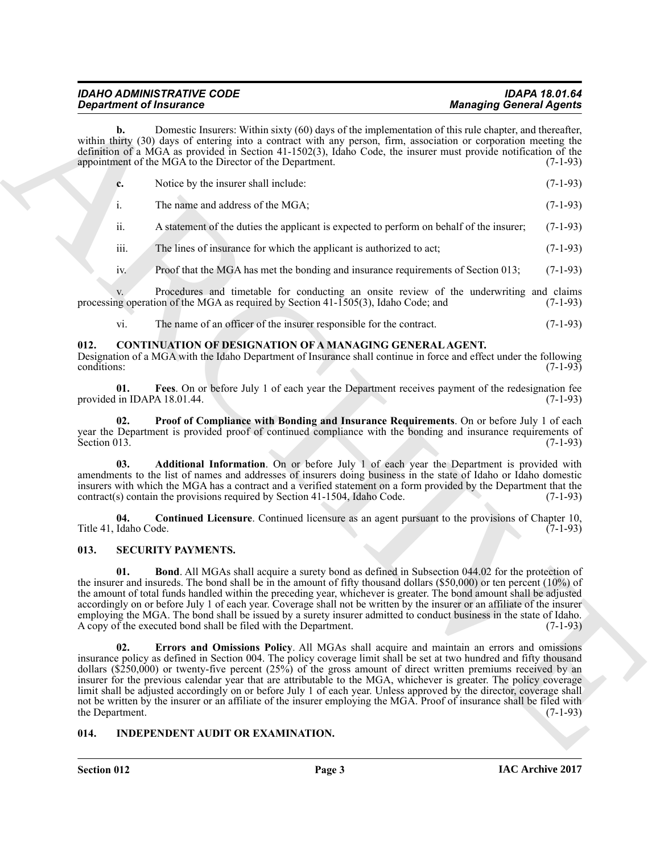### *IDAHO ADMINISTRATIVE CODE IDAPA 18.01.64* **Managing General Agents**

**b.** Domestic Insurers: Within sixty (60) days of the implementation of this rule chapter, and thereafter, within thirty (30) days of entering into a contract with any person, firm, association or corporation meeting the definition of a MGA as provided in Section 41-1502(3), Idaho Code, the insurer must provide notification of the appointment of the MGA to the Director of the Department. (7-1-93)

| Notice by the insurer shall include: | $(7-1-93)$ |
|--------------------------------------|------------|
|                                      |            |

- i. The name and address of the MGA; (7-1-93)
- ii. A statement of the duties the applicant is expected to perform on behalf of the insurer; (7-1-93)
- iii. The lines of insurance for which the applicant is authorized to act;  $(7-1-93)$
- iv. Proof that the MGA has met the bonding and insurance requirements of Section 013; (7-1-93)

v. Procedures and timetable for conducting an onsite review of the underwriting and claims operation of the MGA as required by Section 41-1505(3), Idaho Code; and (7-1-93) processing operation of the MGA as required by Section  $41-1505(3)$ , Idaho Code; and

<span id="page-2-7"></span><span id="page-2-4"></span>vi. The name of an officer of the insurer responsible for the contract. (7-1-93)

#### <span id="page-2-0"></span>**012. CONTINUATION OF DESIGNATION OF A MANAGING GENERAL AGENT.**

Designation of a MGA with the Idaho Department of Insurance shall continue in force and effect under the following conditions: (7-1-93)

**01. Fees**. On or before July 1 of each year the Department receives payment of the redesignation fee provided in IDAPA 18.01.44.

<span id="page-2-8"></span>**Proof of Compliance with Bonding and Insurance Requirements**. On or before July 1 of each year the Department is provided proof of continued compliance with the bonding and insurance requirements of Section 013. (7-1-93) Section 013.  $(7-1-93)$ 

<span id="page-2-5"></span>**03. Additional Information**. On or before July 1 of each year the Department is provided with amendments to the list of names and addresses of insurers doing business in the state of Idaho or Idaho domestic insurers with which the MGA has a contract and a verified statement on a form provided by the Department that the contract(s) contain the provisions required by Section  $41-1504$ , Idaho Code. (7-1-93)  $control(s)$  contain the provisions required by Section 41-1504, Idaho Code.

<span id="page-2-6"></span>**04. Continued Licensure**. Continued licensure as an agent pursuant to the provisions of Chapter 10, Title 41, Idaho Code.

#### <span id="page-2-10"></span><span id="page-2-1"></span>**013. SECURITY PAYMENTS.**

<span id="page-2-11"></span><span id="page-2-3"></span>**01. Bond**. All MGAs shall acquire a surety bond as defined in Subsection 044.02 for the protection of the insurer and insureds. The bond shall be in the amount of fifty thousand dollars (\$50,000) or ten percent (10%) of the amount of total funds handled within the preceding year, whichever is greater. The bond amount shall be adjusted accordingly on or before July 1 of each year. Coverage shall not be written by the insurer or an affiliate of the insurer employing the MGA. The bond shall be issued by a surety insurer admitted to conduct business in the state of Idaho.<br>A copy of the executed bond shall be filed with the Department. (7-1-93) A copy of the executed bond shall be filed with the Department.

**Equation of Framework Constraints.** Welliam andy (Withers of the specified and the specified and the specified and the specified and the specified and the specified and the specified and the specified and the specified a **02. Errors and Omissions Policy**. All MGAs shall acquire and maintain an errors and omissions insurance policy as defined in Section 004. The policy coverage limit shall be set at two hundred and fifty thousand dollars ( $$250,000$ ) or twenty-five percent (25%) of the gross amount of direct written premiums received by an insurer for the previous calendar year that are attributable to the MGA, whichever is greater. The policy coverage limit shall be adjusted accordingly on or before July 1 of each year. Unless approved by the director, coverage shall not be written by the insurer or an affiliate of the insurer employing the MGA. Proof of insurance shall be filed with the Department. (7-1-93) the Department.

#### <span id="page-2-9"></span><span id="page-2-2"></span>**014. INDEPENDENT AUDIT OR EXAMINATION.**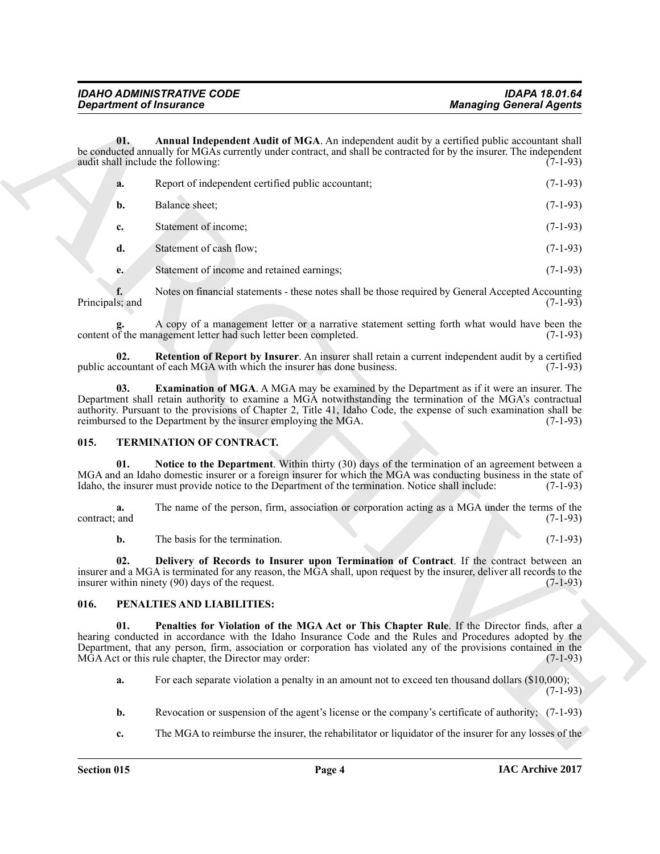<span id="page-3-2"></span>

| <b>Department of Insurance</b> |                                                                                                                                                                                                                                                                                                                                                                                                         | <b>Managing General Agents</b> |  |
|--------------------------------|---------------------------------------------------------------------------------------------------------------------------------------------------------------------------------------------------------------------------------------------------------------------------------------------------------------------------------------------------------------------------------------------------------|--------------------------------|--|
| 01.                            | Annual Independent Audit of MGA. An independent audit by a certified public accountant shall<br>be conducted annually for MGAs currently under contract, and shall be contracted for by the insurer. The independent<br>audit shall include the following:                                                                                                                                              | $(7-1-93)$                     |  |
| a.                             | Report of independent certified public accountant;                                                                                                                                                                                                                                                                                                                                                      | $(7-1-93)$                     |  |
| b.                             | Balance sheet;                                                                                                                                                                                                                                                                                                                                                                                          | $(7-1-93)$                     |  |
| c.                             | Statement of income;                                                                                                                                                                                                                                                                                                                                                                                    | $(7-1-93)$                     |  |
| d.                             | Statement of cash flow;                                                                                                                                                                                                                                                                                                                                                                                 | $(7-1-93)$                     |  |
| e.                             | Statement of income and retained earnings;                                                                                                                                                                                                                                                                                                                                                              | $(7-1-93)$                     |  |
| Principals; and                | Notes on financial statements - these notes shall be those required by General Accepted Accounting                                                                                                                                                                                                                                                                                                      | $(7-1-93)$                     |  |
|                                | A copy of a management letter or a narrative statement setting forth what would have been the<br>content of the management letter had such letter been completed.                                                                                                                                                                                                                                       | $(7-1-93)$                     |  |
| 02.                            | Retention of Report by Insurer. An insurer shall retain a current independent audit by a certified<br>public accountant of each MGA with which the insurer has done business.                                                                                                                                                                                                                           | $(7-1-93)$                     |  |
| 03.                            | <b>Examination of MGA.</b> A MGA may be examined by the Department as if it were an insurer. The<br>Department shall retain authority to examine a MGA notwithstanding the termination of the MGA's contractual<br>authority. Pursuant to the provisions of Chapter 2, Title 41, Idaho Code, the expense of such examination shall be<br>reimbursed to the Department by the insurer employing the MGA. | $(7-1-93)$                     |  |
| 015.                           | TERMINATION OF CONTRACT.                                                                                                                                                                                                                                                                                                                                                                                |                                |  |
| 01.                            | Notice to the Department. Within thirty (30) days of the termination of an agreement between a<br>MGA and an Idaho domestic insurer or a foreign insurer for which the MGA was conducting business in the state of<br>Idaho, the insurer must provide notice to the Department of the termination. Notice shall include:                                                                                | $(7-1-93)$                     |  |
| a.<br>contract; and            | The name of the person, firm, association or corporation acting as a MGA under the terms of the                                                                                                                                                                                                                                                                                                         | $(7-1-93)$                     |  |
| b.                             | The basis for the termination.                                                                                                                                                                                                                                                                                                                                                                          | $(7-1-93)$                     |  |
| 02.                            | Delivery of Records to Insurer upon Termination of Contract. If the contract between an<br>insurer and a MGA is terminated for any reason, the MGA shall, upon request by the insurer, deliver all records to the<br>insurer within ninety (90) days of the request.                                                                                                                                    | $(7-1-93)$                     |  |
| 016.                           | PENALTIES AND LIABILITIES:                                                                                                                                                                                                                                                                                                                                                                              |                                |  |
| 01.                            | Penalties for Violation of the MGA Act or This Chapter Rule. If the Director finds, after a<br>hearing conducted in accordance with the Idaho Insurance Code and the Rules and Procedures adopted by the<br>Department, that any person, firm, association or corporation has violated any of the provisions contained in the<br>MGA Act or this rule chapter, the Director may order:                  | $(7-1-93)$                     |  |
| a.                             | For each separate violation a penalty in an amount not to exceed ten thousand dollars (\$10,000);                                                                                                                                                                                                                                                                                                       | $(7-1-93)$                     |  |
|                                | Revocation or suspension of the agent's license or the company's certificate of authority; (7-1-93)                                                                                                                                                                                                                                                                                                     |                                |  |
| b.                             |                                                                                                                                                                                                                                                                                                                                                                                                         |                                |  |

#### <span id="page-3-9"></span><span id="page-3-7"></span><span id="page-3-4"></span><span id="page-3-3"></span><span id="page-3-0"></span>**015. TERMINATION OF CONTRACT.**

#### <span id="page-3-8"></span><span id="page-3-6"></span><span id="page-3-5"></span><span id="page-3-1"></span>**016. PENALTIES AND LIABILITIES:**

- **b.** Revocation or suspension of the agent's license or the company's certificate of authority; (7-1-93)
- **c.** The MGA to reimburse the insurer, the rehabilitator or liquidator of the insurer for any losses of the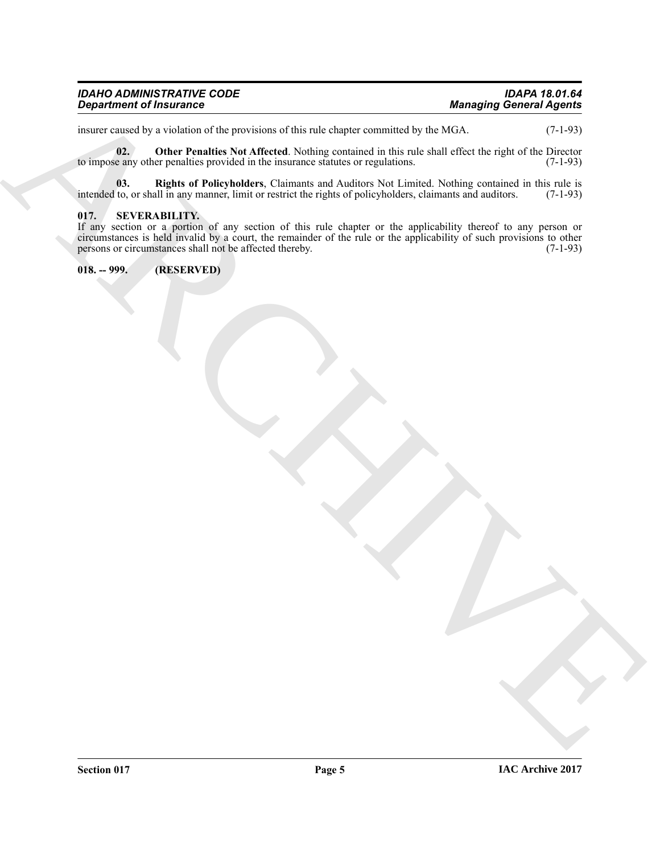| <b>IDAHO ADMINISTRATIVE CODE</b> | <b>IDAPA 18.01.64</b>          |
|----------------------------------|--------------------------------|
| <b>Department of Insurance</b>   | <b>Managing General Agents</b> |

<span id="page-4-2"></span>insurer caused by a violation of the provisions of this rule chapter committed by the MGA. (7-1-93)

**02. Other Penalties Not Affected**. Nothing contained in this rule shall effect the right of the Director e any other penalties provided in the insurance statutes or regulations. (7-1-93) to impose any other penalties provided in the insurance statutes or regulations.

<span id="page-4-3"></span>**03.** Rights of Policyholders, Claimants and Auditors Not Limited. Nothing contained in this rule is to, or shall in any manner, limit or restrict the rights of policyholders, claimants and auditors. (7-1-93) intended to, or shall in any manner, limit or restrict the rights of policyholders, claimants and auditors.

#### <span id="page-4-0"></span>**017. SEVERABILITY.**

**Example of Francisco Control and School Angles Control and School Angles Control Angles Control Angles Control and School Angles Control and School Angles Control and School Angles Control and School Angles Control and S** If any section or a portion of any section of this rule chapter or the applicability thereof to any person or circumstances is held invalid by a court, the remainder of the rule or the applicability of such provisions to other persons or circumstances shall not be affected thereby. (7-1-93)

<span id="page-4-1"></span>**018. -- 999. (RESERVED)**